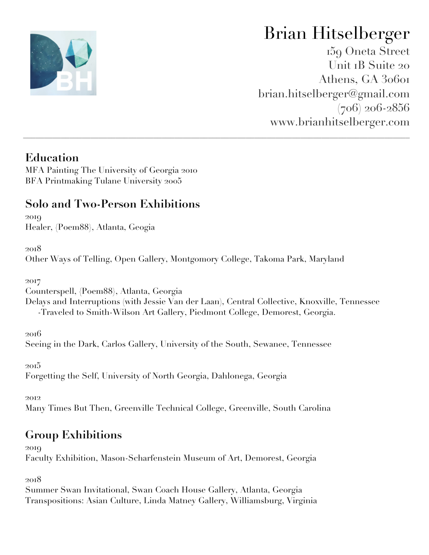

# Brian Hitselberger

159 Oneta Street Unit 1B Suite 20 Athens, GA 30601 brian.hitselberger@gmail.com (706) 206-2856 www.brianhitselberger.com

### **Education**

MFA Painting The University of Georgia 2010 BFA Printmaking Tulane University 2005

# **Solo and Two-Person Exhibitions**

2019 Healer, {Poem88}, Atlanta, Geogia

2018

Other Ways of Telling, Open Gallery, Montgomory College, Takoma Park, Maryland

2017

Counterspell, {Poem88}, Atlanta, Georgia

Delays and Interruptions (with Jessie Van der Laan), Central Collective, Knoxville, Tennessee -Traveled to Smith-Wilson Art Gallery, Piedmont College, Demorest, Georgia.

 $\_$  , and the set of the set of the set of the set of the set of the set of the set of the set of the set of the set of the set of the set of the set of the set of the set of the set of the set of the set of the set of th

2016

Seeing in the Dark, Carlos Gallery, University of the South, Sewanee, Tennessee

2015

Forgetting the Self, University of North Georgia, Dahlonega, Georgia

2012

Many Times But Then, Greenville Technical College, Greenville, South Carolina

# **Group Exhibitions**

2019

Faculty Exhibition, Mason-Scharfenstein Museum of Art, Demorest, Georgia

2018

Summer Swan Invitational, Swan Coach House Gallery, Atlanta, Georgia Transpositions: Asian Culture, Linda Matney Gallery, Williamsburg, Virginia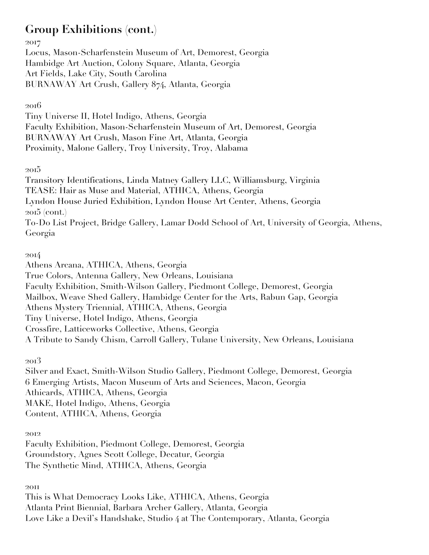# **Group Exhibitions (cont.)**

2017

Locus, Mason-Scharfenstein Museum of Art, Demorest, Georgia Hambidge Art Auction, Colony Square, Atlanta, Georgia Art Fields, Lake City, South Carolina BURNAWAY Art Crush, Gallery 874, Atlanta, Georgia

2016

Tiny Universe II, Hotel Indigo, Athens, Georgia Faculty Exhibition, Mason-Scharfenstein Museum of Art, Demorest, Georgia BURNAWAY Art Crush, Mason Fine Art, Atlanta, Georgia Proximity, Malone Gallery, Troy University, Troy, Alabama

2015

Transitory Identifications, Linda Matney Gallery LLC, Williamsburg, Virginia TEASE: Hair as Muse and Material, ATHICA, Athens, Georgia Lyndon House Juried Exhibition, Lyndon House Art Center, Athens, Georgia 2015 (cont.) To-Do List Project, Bridge Gallery, Lamar Dodd School of Art, University of Georgia, Athens, Georgia

2014

Athens Arcana, ATHICA, Athens, Georgia True Colors, Antenna Gallery, New Orleans, Louisiana Faculty Exhibition, Smith-Wilson Gallery, Piedmont College, Demorest, Georgia Mailbox, Weave Shed Gallery, Hambidge Center for the Arts, Rabun Gap, Georgia Athens Mystery Triennial, ATHICA, Athens, Georgia Tiny Universe, Hotel Indigo, Athens, Georgia Crossfire, Latticeworks Collective, Athens, Georgia A Tribute to Sandy Chism, Carroll Gallery, Tulane University, New Orleans, Louisiana

2013

Silver and Exact, Smith-Wilson Studio Gallery, Piedmont College, Demorest, Georgia 6 Emerging Artists, Macon Museum of Arts and Sciences, Macon, Georgia Athicards, ATHICA, Athens, Georgia MAKE, Hotel Indigo, Athens, Georgia Content, ATHICA, Athens, Georgia

2012

Faculty Exhibition, Piedmont College, Demorest, Georgia Groundstory, Agnes Scott College, Decatur, Georgia The Synthetic Mind, ATHICA, Athens, Georgia

2011

This is What Democracy Looks Like, ATHICA, Athens, Georgia Atlanta Print Biennial, Barbara Archer Gallery, Atlanta, Georgia Love Like a Devil's Handshake, Studio 4 at The Contemporary, Atlanta, Georgia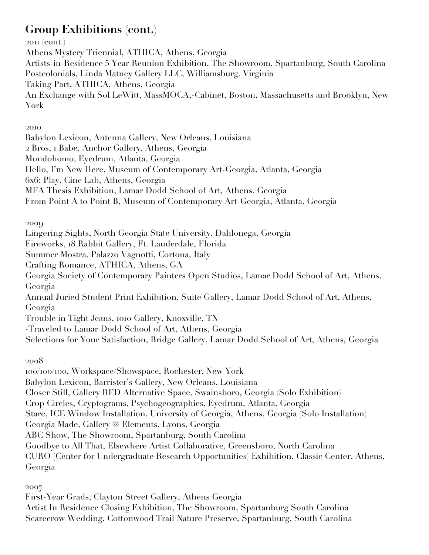# **Group Exhibitions (cont.)**

 $20II$  (cont.) Athens Mystery Triennial, ATHICA, Athens, Georgia Artists-in-Residence 5 Year Reunion Exhibition, The Showroom, Spartanburg, South Carolina Postcolonials, Linda Matney Gallery LLC, Williamsburg, Virginia Taking Part, ATHICA, Athens, Georgia An Exchange with Sol LeWitt, MassMOCA,-Cabinet, Boston, Massachusetts and Brooklyn, New York

#### 2010

Babylon Lexicon, Antenna Gallery, New Orleans, Louisiana

2 Bros, 1 Babe, Anchor Gallery, Athens, Georgia

Mondohomo, Eyedrum, Atlanta, Georgia

Hello, I'm New Here, Museum of Contemporary Art-Georgia, Atlanta, Georgia

6x6: Play, Cine Lab, Athens, Georgia

MFA Thesis Exhibition, Lamar Dodd School of Art, Athens, Georgia

From Point A to Point B, Museum of Contemporary Art-Georgia, Atlanta, Georgia

#### 2009

Lingering Sights, North Georgia State University, Dahlonega, Georgia

Fireworks, 18 Rabbit Gallery, Ft. Lauderdale, Florida

Summer Mostra, Palazzo Vagnotti, Cortona, Italy

Crafting Romance, ATHICA, Athens, GA

Georgia Society of Contemporary Painters Open Studios, Lamar Dodd School of Art, Athens, Georgia

Annual Juried Student Print Exhibition, Suite Gallery, Lamar Dodd School of Art, Athens, Georgia

Trouble in Tight Jeans, 1010 Gallery, Knoxville, TN

-Traveled to Lamar Dodd School of Art, Athens, Georgia

Selections for Your Satisfaction, Bridge Gallery, Lamar Dodd School of Art, Athens, Georgia

2008

100/100/100, Workspace/Showspace, Rochester, New York Babylon Lexicon, Barrister's Gallery, New Orleans, Louisiana Closer Still, Gallery RFD Alternative Space, Swainsboro, Georgia (Solo Exhibition) Crop Circles, Cryptograms, Psychogeographies, Eyedrum, Atlanta, Georgia Stare, ICE Window Installation, University of Georgia, Athens, Georgia (Solo Installation) Georgia Made, Gallery @ Elements, Lyons, Georgia ABC Show, The Showroom, Spartanburg, South Carolina Goodbye to All That, Elsewhere Artist Collaborative, Greensboro, North Carolina CURO (Center for Undergraduate Research Opportunities) Exhibition, Classic Center, Athens, Georgia

2007

First-Year Grads, Clayton Street Gallery, Athens Georgia Artist In Residence Closing Exhibition, The Showroom, Spartanburg South Carolina Scarecrow Wedding, Cottonwood Trail Nature Preserve, Spartanburg, South Carolina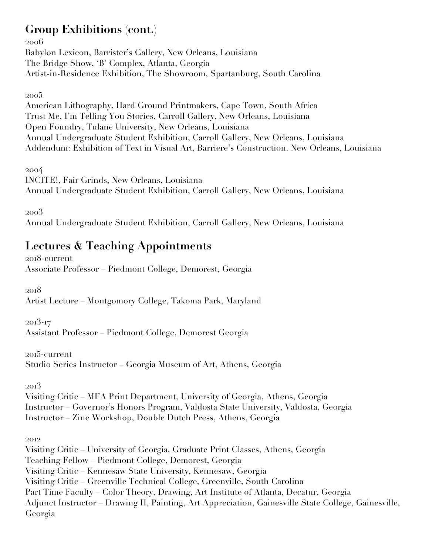# **Group Exhibitions (cont.)**

2006

Babylon Lexicon, Barrister's Gallery, New Orleans, Louisiana The Bridge Show, 'B' Complex, Atlanta, Georgia Artist-in-Residence Exhibition, The Showroom, Spartanburg, South Carolina

2005

American Lithography, Hard Ground Printmakers, Cape Town, South Africa Trust Me, I'm Telling You Stories, Carroll Gallery, New Orleans, Louisiana Open Foundry, Tulane University, New Orleans, Louisiana Annual Undergraduate Student Exhibition, Carroll Gallery, New Orleans, Louisiana Addendum: Exhibition of Text in Visual Art, Barriere's Construction. New Orleans, Louisiana

2004

INCITE!, Fair Grinds, New Orleans, Louisiana Annual Undergraduate Student Exhibition, Carroll Gallery, New Orleans, Louisiana

2003

Annual Undergraduate Student Exhibition, Carroll Gallery, New Orleans, Louisiana

# **Lectures & Teaching Appointments**

2018-current Associate Professor – Piedmont College, Demorest, Georgia

2018

Artist Lecture – Montgomory College, Takoma Park, Maryland

2013-17

Assistant Professor – Piedmont College, Demorest Georgia

2015-current

Studio Series Instructor – Georgia Museum of Art, Athens, Georgia

2013

Visiting Critic – MFA Print Department, University of Georgia, Athens, Georgia Instructor – Governor's Honors Program, Valdosta State University, Valdosta, Georgia Instructor – Zine Workshop, Double Dutch Press, Athens, Georgia

2012

Visiting Critic – University of Georgia, Graduate Print Classes, Athens, Georgia Teaching Fellow – Piedmont College, Demorest, Georgia Visiting Critic – Kennesaw State University, Kennesaw, Georgia Visiting Critic – Greenville Technical College, Greenville, South Carolina Part Time Faculty – Color Theory, Drawing, Art Institute of Atlanta, Decatur, Georgia Adjunct Instructor – Drawing II, Painting, Art Appreciation, Gainesville State College, Gainesville, Georgia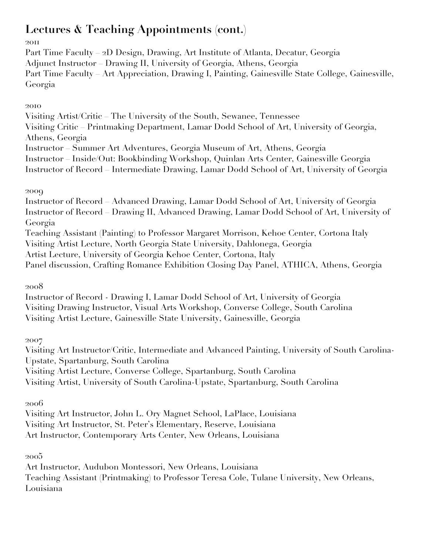# **Lectures & Teaching Appointments (cont.)**

#### 2011

Part Time Faculty – 2D Design, Drawing, Art Institute of Atlanta, Decatur, Georgia Adjunct Instructor – Drawing II, University of Georgia, Athens, Georgia Part Time Faculty – Art Appreciation, Drawing I, Painting, Gainesville State College, Gainesville, Georgia

#### 2010

Visiting Artist/Critic – The University of the South, Sewanee, Tennessee Visiting Critic – Printmaking Department, Lamar Dodd School of Art, University of Georgia, Athens, Georgia Instructor – Summer Art Adventures, Georgia Museum of Art, Athens, Georgia Instructor – Inside/Out: Bookbinding Workshop, Quinlan Arts Center, Gainesville Georgia Instructor of Record – Intermediate Drawing, Lamar Dodd School of Art, University of Georgia

#### 2009

Instructor of Record – Advanced Drawing, Lamar Dodd School of Art, University of Georgia Instructor of Record – Drawing II, Advanced Drawing, Lamar Dodd School of Art, University of Georgia

Teaching Assistant (Painting) to Professor Margaret Morrison, Kehoe Center, Cortona Italy Visiting Artist Lecture, North Georgia State University, Dahlonega, Georgia Artist Lecture, University of Georgia Kehoe Center, Cortona, Italy

Panel discussion, Crafting Romance Exhibition Closing Day Panel, ATHICA, Athens, Georgia

#### 2008

Instructor of Record - Drawing I, Lamar Dodd School of Art, University of Georgia Visiting Drawing Instructor, Visual Arts Workshop, Converse College, South Carolina Visiting Artist Lecture, Gainesville State University, Gainesville, Georgia

2007

Visiting Art Instructor/Critic, Intermediate and Advanced Painting, University of South Carolina-Upstate, Spartanburg, South Carolina Visiting Artist Lecture, Converse College, Spartanburg, South Carolina

Visiting Artist, University of South Carolina-Upstate, Spartanburg, South Carolina

#### 2006

Visiting Art Instructor, John L. Ory Magnet School, LaPlace, Louisiana Visiting Art Instructor, St. Peter's Elementary, Reserve, Louisiana Art Instructor, Contemporary Arts Center, New Orleans, Louisiana

2005

Art Instructor, Audubon Montessori, New Orleans, Louisiana Teaching Assistant (Printmaking) to Professor Teresa Cole, Tulane University, New Orleans, Louisiana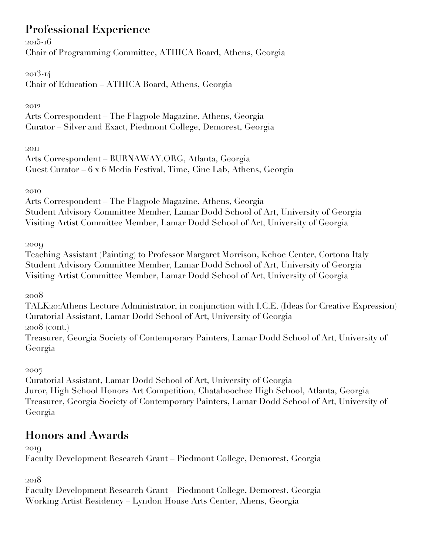# **Professional Experience**

2015-16 Chair of Programming Committee, ATHICA Board, Athens, Georgia

#### 2013-14

Chair of Education – ATHICA Board, Athens, Georgia

#### 2012

Arts Correspondent – The Flagpole Magazine, Athens, Georgia Curator – Silver and Exact, Piedmont College, Demorest, Georgia

#### 2011

Arts Correspondent – BURNAWAY.ORG, Atlanta, Georgia Guest Curator – 6 x 6 Media Festival, Time, Cine Lab, Athens, Georgia

#### 2010

Arts Correspondent – The Flagpole Magazine, Athens, Georgia Student Advisory Committee Member, Lamar Dodd School of Art, University of Georgia Visiting Artist Committee Member, Lamar Dodd School of Art, University of Georgia

#### 2009

Teaching Assistant (Painting) to Professor Margaret Morrison, Kehoe Center, Cortona Italy Student Advisory Committee Member, Lamar Dodd School of Art, University of Georgia Visiting Artist Committee Member, Lamar Dodd School of Art, University of Georgia

2008

TALK20:Athens Lecture Administrator, in conjunction with I.C.E. (Ideas for Creative Expression) Curatorial Assistant, Lamar Dodd School of Art, University of Georgia

2008 (cont.)

Treasurer, Georgia Society of Contemporary Painters, Lamar Dodd School of Art, University of Georgia

#### 2007

Curatorial Assistant, Lamar Dodd School of Art, University of Georgia Juror, High School Honors Art Competition, Chatahoochee High School, Atlanta, Georgia Treasurer, Georgia Society of Contemporary Painters, Lamar Dodd School of Art, University of Georgia

# **Honors and Awards**

2019

Faculty Development Research Grant – Piedmont College, Demorest, Georgia

#### 2018

Faculty Development Research Grant – Piedmont College, Demorest, Georgia Working Artist Residency – Lyndon House Arts Center, Ahens, Georgia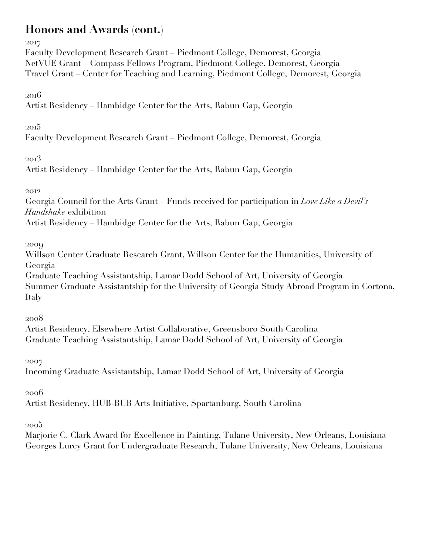# **Honors and Awards (cont.)**

2017

Faculty Development Research Grant – Piedmont College, Demorest, Georgia NetVUE Grant – Compass Fellows Program, Piedmont College, Demorest, Georgia Travel Grant – Center for Teaching and Learning, Piedmont College, Demorest, Georgia

2016

Artist Residency – Hambidge Center for the Arts, Rabun Gap, Georgia

2015

Faculty Development Research Grant – Piedmont College, Demorest, Georgia

2013

Artist Residency – Hambidge Center for the Arts, Rabun Gap, Georgia

2012

Georgia Council for the Arts Grant – Funds received for participation in *Love Like a Devil's Handshake* exhibition

Artist Residency – Hambidge Center for the Arts, Rabun Gap, Georgia

2009

Willson Center Graduate Research Grant, Willson Center for the Humanities, University of Georgia

Graduate Teaching Assistantship, Lamar Dodd School of Art, University of Georgia Summer Graduate Assistantship for the University of Georgia Study Abroad Program in Cortona, Italy

2008

Artist Residency, Elsewhere Artist Collaborative, Greensboro South Carolina Graduate Teaching Assistantship, Lamar Dodd School of Art, University of Georgia

2007

Incoming Graduate Assistantship, Lamar Dodd School of Art, University of Georgia

2006

Artist Residency, HUB-BUB Arts Initiative, Spartanburg, South Carolina

2005

Marjorie C. Clark Award for Excellence in Painting, Tulane University, New Orleans, Louisiana Georges Lurcy Grant for Undergraduate Research, Tulane University, New Orleans, Louisiana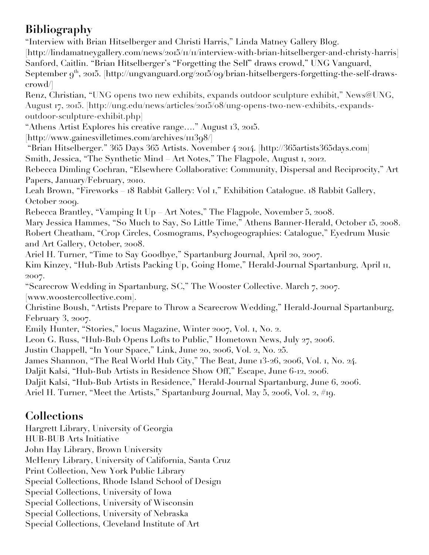# **Bibliography**

"Interview with Brian Hitselberger and Christi Harris," Linda Matney Gallery Blog.

[http://lindamatneygallery.com/news/2015/11/11/interview-with-brian-hitselberger-and-christy-harris] Sanford, Caitlin. "Brian Hitselberger's "Forgetting the Self" draws crowd," UNG Vanguard,

September  $9<sup>th</sup>$ , 2015. [http://ungvanguard.org/2015/09/brian-hitselbergers-forgetting-the-self-drawscrowd/]

Renz, Christian, "UNG opens two new exhibits, expands outdoor sculpture exhibit," News@UNG, August 17, 2015. [http://ung.edu/news/articles/2015/08/ung-opens-two-new-exhibits,-expandsoutdoor-sculpture-exhibit.php]

"Athens Artist Explores his creative range…." August 13, 2015.

[http://www.gainesvilletimes.com/archives/111398/]

"Brian Hitselberger." 365 Days 365 Artists. November 4 2014. [http://365artists365days.com] Smith, Jessica, "The Synthetic Mind – Art Notes," The Flagpole, August 1, 2012.

Rebecca Dimling Cochran, "Elsewhere Collaborative: Community, Dispersal and Reciprocity," Art Papers, January/February, 2010.

Leah Brown, "Fireworks – 18 Rabbit Gallery: Vol 1," Exhibition Catalogue. 18 Rabbit Gallery, October 2009.

Rebecca Brantley, "Vamping It Up – Art Notes," The Flagpole, November 5, 2008.

Mary Jessica Hammes, "So Much to Say, So Little Time," Athens Banner-Herald, October 15, 2008. Robert Cheatham, "Crop Circles, Cosmograms, Psychogeographies: Catalogue," Eyedrum Music and Art Gallery, October, 2008.

Ariel H. Turner, "Time to Say Goodbye," Spartanburg Journal, April 20, 2007.

Kim Kinzey, "Hub-Bub Artists Packing Up, Going Home," Herald-Journal Spartanburg, April 11, 2007.

"Scarecrow Wedding in Spartanburg, SC," The Wooster Collective. March 7, 2007. [www.woostercollective.com].

Christine Boush, "Artists Prepare to Throw a Scarecrow Wedding," Herald-Journal Spartanburg, February 3, 2007.

Emily Hunter, "Stories," locus Magazine, Winter 2007, Vol. 1, No. 2.

Leon G. Russ, "Hub-Bub Opens Lofts to Public," Hometown News, July 27, 2006.

Justin Chappell, "In Your Space," Link, June 20, 2006, Vol. 2, No. 25.

James Shannon, "The Real World Hub City," The Beat, June 13-26, 2006, Vol. 1, No. 24.

Daljit Kalsi, "Hub-Bub Artists in Residence Show Off," Escape, June 6-12, 2006.

Daljit Kalsi, "Hub-Bub Artists in Residence," Herald-Journal Spartanburg, June 6, 2006.

Ariel H. Turner, "Meet the Artists," Spartanburg Journal, May 5, 2006, Vol. 2, #19.

# **Collections**

Hargrett Library, University of Georgia HUB-BUB Arts Initiative John Hay Library, Brown University McHenry Library, University of California, Santa Cruz Print Collection, New York Public Library Special Collections, Rhode Island School of Design Special Collections, University of Iowa Special Collections, University of Wisconsin Special Collections, University of Nebraska Special Collections, Cleveland Institute of Art